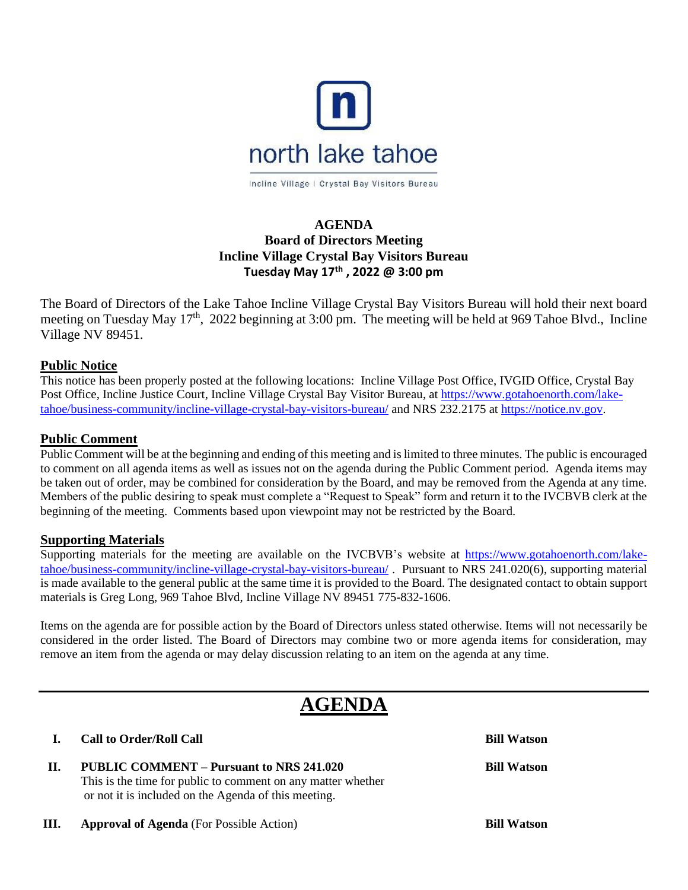

Incline Village | Crystal Bay Visitors Bureau

## **AGENDA Board of Directors Meeting Incline Village Crystal Bay Visitors Bureau Tuesday May 17th , 2022 @ 3:00 pm**

The Board of Directors of the Lake Tahoe Incline Village Crystal Bay Visitors Bureau will hold their next board meeting on Tuesday May 17<sup>th</sup>, 2022 beginning at 3:00 pm. The meeting will be held at 969 Tahoe Blvd., Incline Village NV 89451.

#### **Public Notice**

This notice has been properly posted at the following locations: Incline Village Post Office, IVGID Office, Crystal Bay Post Office, Incline Justice Court, Incline Village Crystal Bay Visitor Bureau, at [https://www.gotahoenorth.com/lake](https://www.gotahoenorth.com/lake-tahoe/business-community/incline-village-crystal-bay-visitors-bureau/)[tahoe/business-community/incline-village-crystal-bay-visitors-bureau/](https://www.gotahoenorth.com/lake-tahoe/business-community/incline-village-crystal-bay-visitors-bureau/) and NRS 232.2175 at [https://notice.nv.gov.](https://notice.nv.gov/)

### **Public Comment**

Public Comment will be at the beginning and ending of this meeting and is limited to three minutes. The public is encouraged to comment on all agenda items as well as issues not on the agenda during the Public Comment period. Agenda items may be taken out of order, may be combined for consideration by the Board, and may be removed from the Agenda at any time. Members of the public desiring to speak must complete a "Request to Speak" form and return it to the IVCBVB clerk at the beginning of the meeting. Comments based upon viewpoint may not be restricted by the Board.

#### **Supporting Materials**

Supporting materials for the meeting are available on the IVCBVB's website at [https://www.gotahoenorth.com/lake](https://www.gotahoenorth.com/lake-tahoe/business-community/incline-village-crystal-bay-visitors-bureau/)[tahoe/business-community/incline-village-crystal-bay-visitors-bureau/](https://www.gotahoenorth.com/lake-tahoe/business-community/incline-village-crystal-bay-visitors-bureau/) . Pursuant to NRS 241.020(6), supporting material is made available to the general public at the same time it is provided to the Board. The designated contact to obtain support materials is Greg Long, 969 Tahoe Blvd, Incline Village NV 89451 775-832-1606.

Items on the agenda are for possible action by the Board of Directors unless stated otherwise. Items will not necessarily be considered in the order listed. The Board of Directors may combine two or more agenda items for consideration, may remove an item from the agenda or may delay discussion relating to an item on the agenda at any time.

# **AGENDA**

#### **I. Call to Order/Roll Call Bill Watson**

**II. PUBLIC COMMENT – Pursuant to NRS 241.020 Bill Watson** This is the time for public to comment on any matter whether or not it is included on the Agenda of this meeting.

**III. Approval of Agenda** (For Possible Action) **Bill Watson**